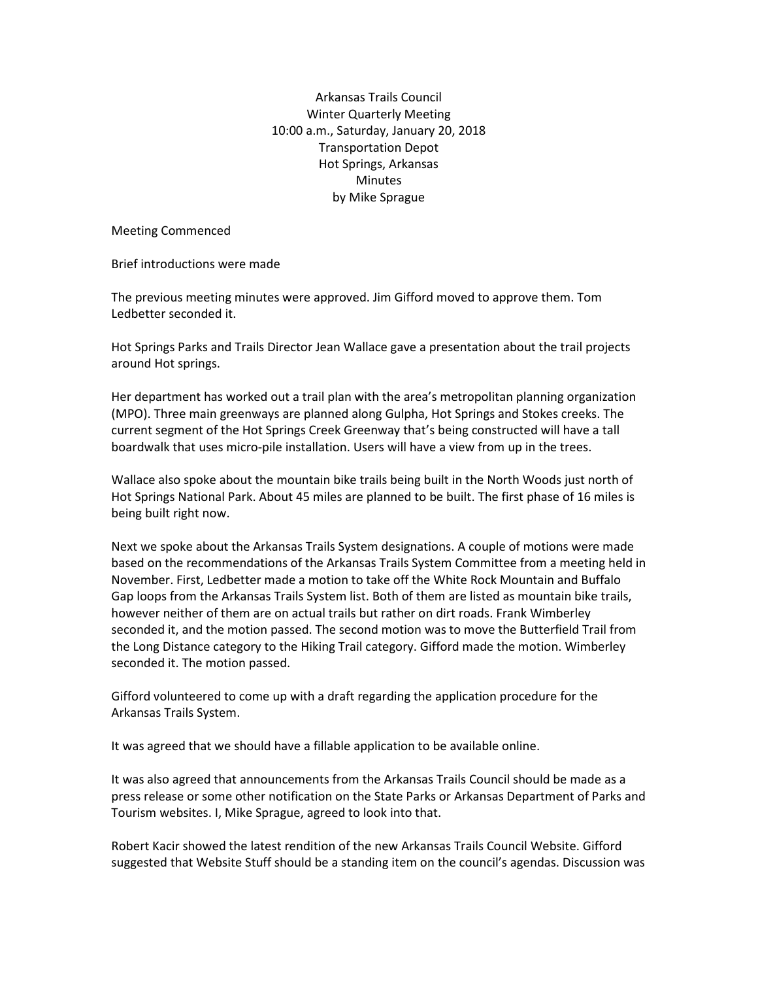Arkansas Trails Council Winter Quarterly Meeting 10:00 a.m., Saturday, January 20, 2018 Transportation Depot Hot Springs, Arkansas **Minutes** by Mike Sprague

Meeting Commenced

Brief introductions were made

The previous meeting minutes were approved. Jim Gifford moved to approve them. Tom Ledbetter seconded it.

Hot Springs Parks and Trails Director Jean Wallace gave a presentation about the trail projects around Hot springs.

Her department has worked out a trail plan with the area's metropolitan planning organization (MPO). Three main greenways are planned along Gulpha, Hot Springs and Stokes creeks. The current segment of the Hot Springs Creek Greenway that's being constructed will have a tall boardwalk that uses micro-pile installation. Users will have a view from up in the trees.

Wallace also spoke about the mountain bike trails being built in the North Woods just north of Hot Springs National Park. About 45 miles are planned to be built. The first phase of 16 miles is being built right now.

Next we spoke about the Arkansas Trails System designations. A couple of motions were made based on the recommendations of the Arkansas Trails System Committee from a meeting held in November. First, Ledbetter made a motion to take off the White Rock Mountain and Buffalo Gap loops from the Arkansas Trails System list. Both of them are listed as mountain bike trails, however neither of them are on actual trails but rather on dirt roads. Frank Wimberley seconded it, and the motion passed. The second motion was to move the Butterfield Trail from the Long Distance category to the Hiking Trail category. Gifford made the motion. Wimberley seconded it. The motion passed.

Gifford volunteered to come up with a draft regarding the application procedure for the Arkansas Trails System.

It was agreed that we should have a fillable application to be available online.

It was also agreed that announcements from the Arkansas Trails Council should be made as a press release or some other notification on the State Parks or Arkansas Department of Parks and Tourism websites. I, Mike Sprague, agreed to look into that.

Robert Kacir showed the latest rendition of the new Arkansas Trails Council Website. Gifford suggested that Website Stuff should be a standing item on the council's agendas. Discussion was